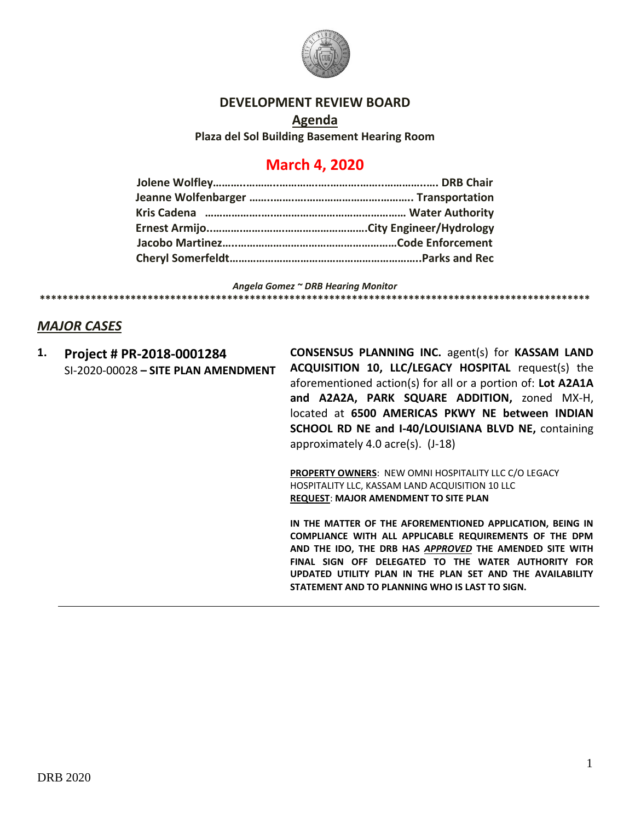

### **DEVELOPMENT REVIEW BOARD**

**Agenda Plaza del Sol Building Basement Hearing Room**

# **March 4, 2020**

*Angela Gomez ~ DRB Hearing Monitor* **\*\*\*\*\*\*\*\*\*\*\*\*\*\*\*\*\*\*\*\*\*\*\*\*\*\*\*\*\*\*\*\*\*\*\*\*\*\*\*\*\*\*\*\*\*\*\*\*\*\*\*\*\*\*\*\*\*\*\*\*\*\*\*\*\*\*\*\*\*\*\*\*\*\*\*\*\*\*\*\*\*\*\*\*\*\*\*\*\*\*\*\*\*\*\*\*\***

## *MAJOR CASES*

**1. Project # PR-2018-0001284** SI-2020-00028 **– SITE PLAN AMENDMENT** **CONSENSUS PLANNING INC.** agent(s) for **KASSAM LAND ACQUISITION 10, LLC/LEGACY HOSPITAL** request(s) the aforementioned action(s) for all or a portion of: **Lot A2A1A and A2A2A, PARK SQUARE ADDITION,** zoned MX-H, located at **6500 AMERICAS PKWY NE between INDIAN SCHOOL RD NE and I-40/LOUISIANA BLVD NE,** containing approximately 4.0 acre(s). (J-18)

**PROPERTY OWNERS**: NEW OMNI HOSPITALITY LLC C/O LEGACY HOSPITALITY LLC, KASSAM LAND ACQUISITION 10 LLC **REQUEST**: **MAJOR AMENDMENT TO SITE PLAN** 

**IN THE MATTER OF THE AFOREMENTIONED APPLICATION, BEING IN COMPLIANCE WITH ALL APPLICABLE REQUIREMENTS OF THE DPM AND THE IDO, THE DRB HAS** *APPROVED* **THE AMENDED SITE WITH FINAL SIGN OFF DELEGATED TO THE WATER AUTHORITY FOR UPDATED UTILITY PLAN IN THE PLAN SET AND THE AVAILABILITY STATEMENT AND TO PLANNING WHO IS LAST TO SIGN.**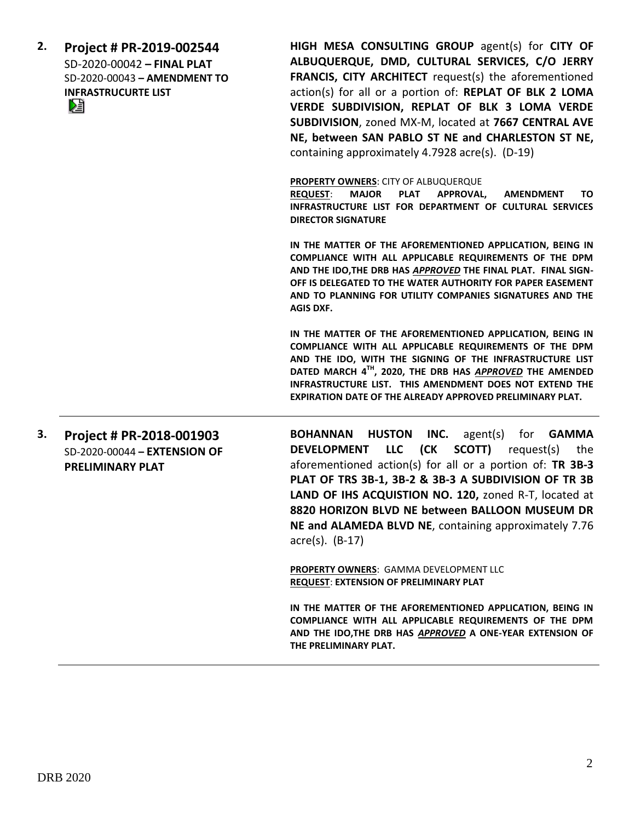| 2. | Project # PR-2019-002544<br>SD-2020-00042 - FINAL PLAT<br>SD-2020-00043 - AMENDMENT TO<br><b>INFRASTRUCURTE LIST</b><br>N | HIGH MESA CONSULTING GROUP agent(s) for CITY OF<br>ALBUQUERQUE, DMD, CULTURAL SERVICES, C/O JERRY<br><b>FRANCIS, CITY ARCHITECT</b> request(s) the aforementioned<br>action(s) for all or a portion of: REPLAT OF BLK 2 LOMA<br>VERDE SUBDIVISION, REPLAT OF BLK 3 LOMA VERDE<br>SUBDIVISION, zoned MX-M, located at 7667 CENTRAL AVE<br>NE, between SAN PABLO ST NE and CHARLESTON ST NE,<br>containing approximately 4.7928 acre(s). (D-19) |
|----|---------------------------------------------------------------------------------------------------------------------------|-----------------------------------------------------------------------------------------------------------------------------------------------------------------------------------------------------------------------------------------------------------------------------------------------------------------------------------------------------------------------------------------------------------------------------------------------|
|    |                                                                                                                           | PROPERTY OWNERS: CITY OF ALBUQUERQUE<br><b>MAJOR</b><br><b>PLAT</b><br><b>APPROVAL,</b><br><b>AMENDMENT</b><br><b>REQUEST:</b><br>TO.<br>INFRASTRUCTURE LIST FOR DEPARTMENT OF CULTURAL SERVICES<br><b>DIRECTOR SIGNATURE</b>                                                                                                                                                                                                                 |
|    |                                                                                                                           | IN THE MATTER OF THE AFOREMENTIONED APPLICATION, BEING IN<br>COMPLIANCE WITH ALL APPLICABLE REQUIREMENTS OF THE DPM<br>AND THE IDO, THE DRB HAS APPROVED THE FINAL PLAT. FINAL SIGN-<br>OFF IS DELEGATED TO THE WATER AUTHORITY FOR PAPER EASEMENT<br>AND TO PLANNING FOR UTILITY COMPANIES SIGNATURES AND THE<br><b>AGIS DXF.</b>                                                                                                            |
|    |                                                                                                                           | IN THE MATTER OF THE AFOREMENTIONED APPLICATION, BEING IN<br>COMPLIANCE WITH ALL APPLICABLE REQUIREMENTS OF THE DPM<br>AND THE IDO, WITH THE SIGNING OF THE INFRASTRUCTURE LIST<br>DATED MARCH 4TH, 2020, THE DRB HAS APPROVED THE AMENDED<br>INFRASTRUCTURE LIST. THIS AMENDMENT DOES NOT EXTEND THE<br><b>EXPIRATION DATE OF THE ALREADY APPROVED PRELIMINARY PLAT.</b>                                                                     |
| 3. | Project # PR-2018-001903<br>SD-2020-00044 - EXTENSION OF<br><b>PRELIMINARY PLAT</b>                                       | for <b>GAMMA</b><br><b>BOHANNAN</b><br><b>HUSTON</b><br>INC.<br>agent(s)<br>(CK<br><b>LLC</b><br>SCOTT)<br><b>DEVELOPMENT</b><br>request(s)<br>the<br>aforementioned action(s) for all or a portion of: TR 3B-3<br>PLAT OF TRS 3B-1, 3B-2 & 3B-3 A SUBDIVISION OF TR 3B                                                                                                                                                                       |

**LAND OF IHS ACQUISTION NO. 120,** zoned R-T, located at **8820 HORIZON BLVD NE between BALLOON MUSEUM DR NE and ALAMEDA BLVD NE**, containing approximately 7.76 acre(s). (B-17)

**PROPERTY OWNERS**: GAMMA DEVELOPMENT LLC **REQUEST**: **EXTENSION OF PRELIMINARY PLAT**

**IN THE MATTER OF THE AFOREMENTIONED APPLICATION, BEING IN COMPLIANCE WITH ALL APPLICABLE REQUIREMENTS OF THE DPM AND THE IDO,THE DRB HAS** *APPROVED* **A ONE-YEAR EXTENSION OF THE PRELIMINARY PLAT.**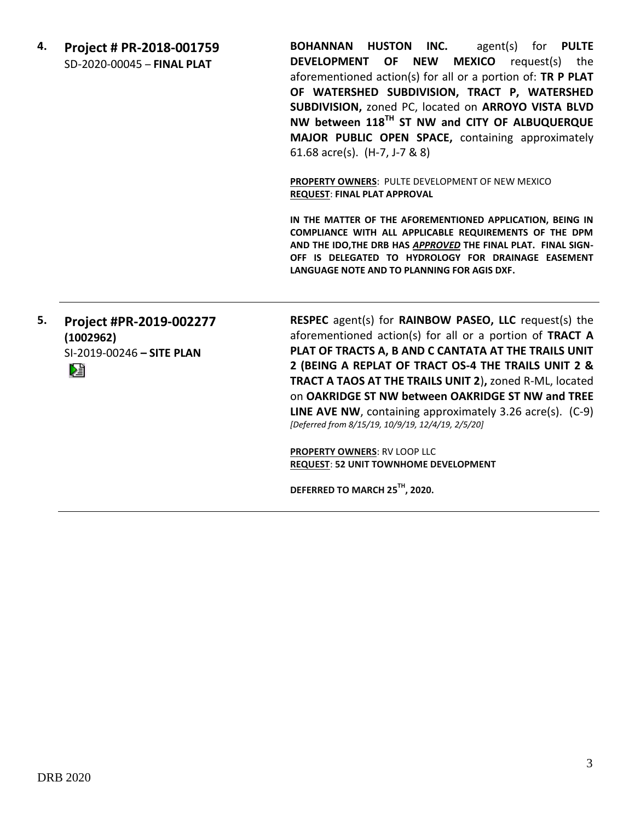**4. Project # PR-2018-001759** SD-2020-00045 – **FINAL PLAT**

**BOHANNAN HUSTON INC.** agent(s) for **PULTE DEVELOPMENT OF NEW MEXICO** request(s) the aforementioned action(s) for all or a portion of: **TR P PLAT OF WATERSHED SUBDIVISION, TRACT P, WATERSHED SUBDIVISION,** zoned PC, located on **ARROYO VISTA BLVD NW between 118TH ST NW and CITY OF ALBUQUERQUE MAJOR PUBLIC OPEN SPACE,** containing approximately 61.68 acre(s). (H-7, J-7 & 8)

**PROPERTY OWNERS**: PULTE DEVELOPMENT OF NEW MEXICO **REQUEST**: **FINAL PLAT APPROVAL**

**IN THE MATTER OF THE AFOREMENTIONED APPLICATION, BEING IN COMPLIANCE WITH ALL APPLICABLE REQUIREMENTS OF THE DPM AND THE IDO,THE DRB HAS** *APPROVED* **THE FINAL PLAT. FINAL SIGN-OFF IS DELEGATED TO HYDROLOGY FOR DRAINAGE EASEMENT LANGUAGE NOTE AND TO PLANNING FOR AGIS DXF.**

#### **5. Project #PR-2019-002277 (1002962)** SI-2019-00246 **– SITE PLAN**

Dê

**RESPEC** agent(s) for **RAINBOW PASEO, LLC** request(s) the aforementioned action(s) for all or a portion of **TRACT A PLAT OF TRACTS A, B AND C CANTATA AT THE TRAILS UNIT 2 (BEING A REPLAT OF TRACT OS-4 THE TRAILS UNIT 2 & TRACT A TAOS AT THE TRAILS UNIT 2**)**,** zoned R-ML, located on **OAKRIDGE ST NW between OAKRIDGE ST NW and TREE LINE AVE NW**, containing approximately 3.26 acre(s). (C-9) *[Deferred from 8/15/19, 10/9/19, 12/4/19, 2/5/20]*

**PROPERTY OWNERS**: RV LOOP LLC **REQUEST**: **52 UNIT TOWNHOME DEVELOPMENT**

**DEFERRED TO MARCH 25TH, 2020.**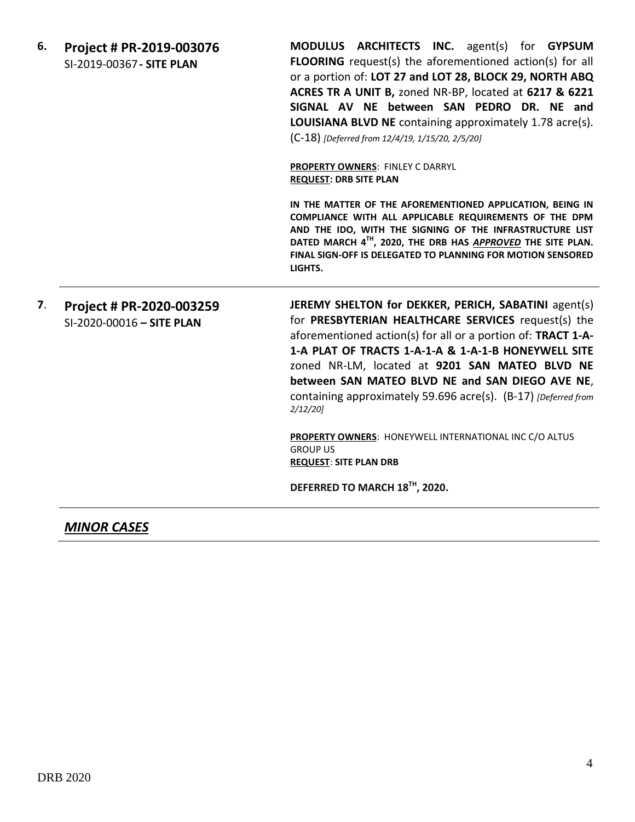| 6. | Project # PR-2019-003076  |  |
|----|---------------------------|--|
|    | SI-2019-00367 - SITE PLAN |  |

**MODULUS ARCHITECTS INC.** agent(s) for **GYPSUM FLOORING** request(s) the aforementioned action(s) for all or a portion of: **LOT 27 and LOT 28, BLOCK 29, NORTH ABQ ACRES TR A UNIT B,** zoned NR-BP, located at **6217 & 6221 SIGNAL AV NE between SAN PEDRO DR. NE and LOUISIANA BLVD NE** containing approximately 1.78 acre(s). (C-18) *[Deferred from 12/4/19, 1/15/20, 2/5/20]*

**PROPERTY OWNERS**: FINLEY C DARRYL **REQUEST: DRB SITE PLAN**

**IN THE MATTER OF THE AFOREMENTIONED APPLICATION, BEING IN COMPLIANCE WITH ALL APPLICABLE REQUIREMENTS OF THE DPM AND THE IDO, WITH THE SIGNING OF THE INFRASTRUCTURE LIST DATED MARCH 4TH, 2020, THE DRB HAS** *APPROVED* **THE SITE PLAN. FINAL SIGN-OFF IS DELEGATED TO PLANNING FOR MOTION SENSORED LIGHTS.**

**7**. **Project # PR-2020-003259** SI-2020-00016 **– SITE PLAN JEREMY SHELTON for DEKKER, PERICH, SABATINI** agent(s) for **PRESBYTERIAN HEALTHCARE SERVICES** request(s) the aforementioned action(s) for all or a portion of: **TRACT 1-A-1-A PLAT OF TRACTS 1-A-1-A & 1-A-1-B HONEYWELL SITE** zoned NR-LM, located at **9201 SAN MATEO BLVD NE between SAN MATEO BLVD NE and SAN DIEGO AVE NE**, containing approximately 59.696 acre(s). (B-17) *[Deferred from 2/12/20]*

> **PROPERTY OWNERS**: HONEYWELL INTERNATIONAL INC C/O ALTUS GROUP US **REQUEST**: **SITE PLAN DRB**

**DEFERRED TO MARCH 18TH, 2020.**

*MINOR CASES*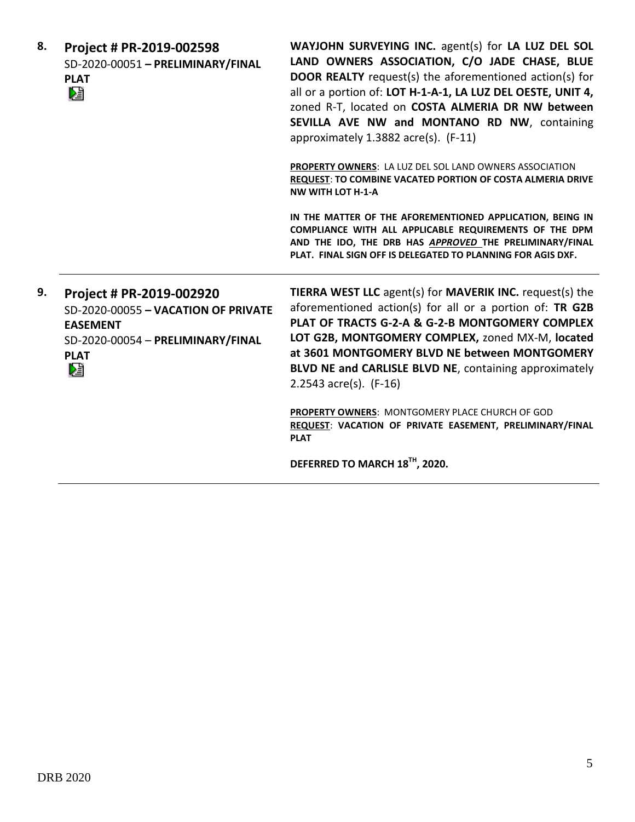| 8. | Project # PR-2019-002598<br>SD-2020-00051 - PRELIMINARY/FINAL<br><b>PLAT</b><br>妇                                                           | WAYJOHN SURVEYING INC. agent(s) for LA LUZ DEL SOL<br>LAND OWNERS ASSOCIATION, C/O JADE CHASE, BLUE<br><b>DOOR REALTY</b> request(s) the aforementioned action(s) for<br>all or a portion of: LOT H-1-A-1, LA LUZ DEL OESTE, UNIT 4,<br>zoned R-T, located on COSTA ALMERIA DR NW between<br>SEVILLA AVE NW and MONTANO RD NW, containing<br>approximately 1.3882 acre(s). (F-11) |
|----|---------------------------------------------------------------------------------------------------------------------------------------------|-----------------------------------------------------------------------------------------------------------------------------------------------------------------------------------------------------------------------------------------------------------------------------------------------------------------------------------------------------------------------------------|
|    |                                                                                                                                             | PROPERTY OWNERS: LA LUZ DEL SOL LAND OWNERS ASSOCIATION<br>REQUEST: TO COMBINE VACATED PORTION OF COSTA ALMERIA DRIVE<br><b>NW WITH LOT H-1-A</b>                                                                                                                                                                                                                                 |
|    |                                                                                                                                             | IN THE MATTER OF THE AFOREMENTIONED APPLICATION, BEING IN<br>COMPLIANCE WITH ALL APPLICABLE REQUIREMENTS OF THE DPM<br>AND THE IDO, THE DRB HAS APPROVED THE PRELIMINARY/FINAL<br>PLAT. FINAL SIGN OFF IS DELEGATED TO PLANNING FOR AGIS DXF.                                                                                                                                     |
| 9. | Project # PR-2019-002920<br>SD-2020-00055 - VACATION OF PRIVATE<br><b>EASEMENT</b><br>SD-2020-00054 - PRELIMINARY/FINAL<br><b>PLAT</b><br>N | <b>TIERRA WEST LLC</b> agent(s) for <b>MAVERIK INC.</b> request(s) the<br>aforementioned action(s) for all or a portion of: TR G2B<br>PLAT OF TRACTS G-2-A & G-2-B MONTGOMERY COMPLEX<br>LOT G2B, MONTGOMERY COMPLEX, zoned MX-M, located<br>at 3601 MONTGOMERY BLVD NE between MONTGOMERY<br>BLVD NE and CARLISLE BLVD NE, containing approximately<br>2.2543 $acc(s)$ . (F-16)  |
|    |                                                                                                                                             | PROPERTY OWNERS: MONTGOMERY PLACE CHURCH OF GOD<br>REQUEST: VACATION OF PRIVATE EASEMENT, PRELIMINARY/FINAL<br><b>PLAT</b>                                                                                                                                                                                                                                                        |
|    |                                                                                                                                             | DEFERRED TO MARCH 18TH, 2020.                                                                                                                                                                                                                                                                                                                                                     |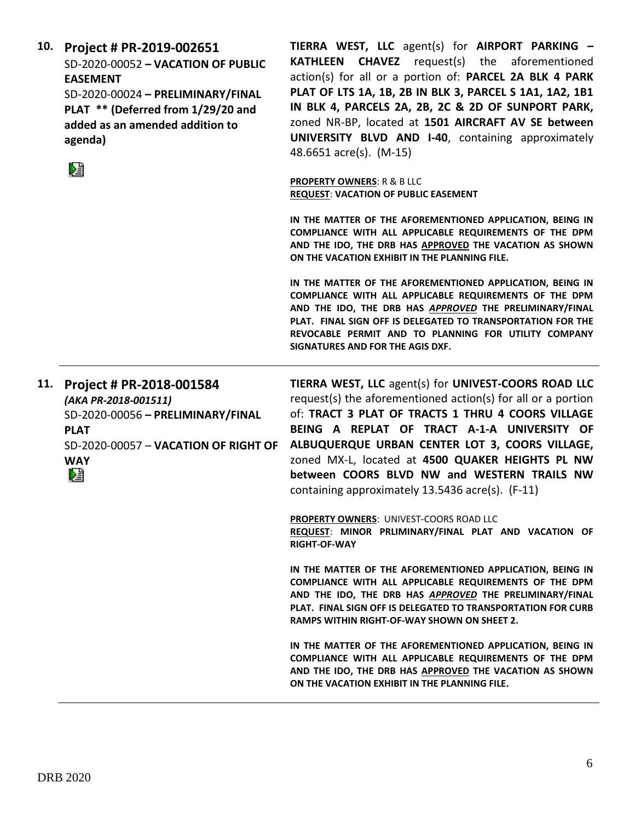|     | SD-2020-00052 - VACATION OF PUBLIC<br><b>EASEMENT</b><br>SD-2020-00024 - PRELIMINARY/FINAL<br>PLAT ** (Deferred from 1/29/20 and<br>added as an amended addition to<br>agenda)<br>Œ | <b>CHAVEZ</b> request(s) the aforementioned<br><b>KATHLEEN</b><br>action(s) for all or a portion of: PARCEL 2A BLK 4 PARK<br>PLAT OF LTS 1A, 1B, 2B IN BLK 3, PARCEL S 1A1, 1A2, 1B1<br>IN BLK 4, PARCELS 2A, 2B, 2C & 2D OF SUNPORT PARK,<br>zoned NR-BP, located at 1501 AIRCRAFT AV SE between<br>UNIVERSITY BLVD AND I-40, containing approximately<br>48.6651 acre(s). (M-15)                                                |
|-----|-------------------------------------------------------------------------------------------------------------------------------------------------------------------------------------|-----------------------------------------------------------------------------------------------------------------------------------------------------------------------------------------------------------------------------------------------------------------------------------------------------------------------------------------------------------------------------------------------------------------------------------|
|     |                                                                                                                                                                                     | <b>PROPERTY OWNERS: R &amp; B LLC</b><br><b>REQUEST: VACATION OF PUBLIC EASEMENT</b>                                                                                                                                                                                                                                                                                                                                              |
|     |                                                                                                                                                                                     | IN THE MATTER OF THE AFOREMENTIONED APPLICATION, BEING IN<br>COMPLIANCE WITH ALL APPLICABLE REQUIREMENTS OF THE DPM<br>AND THE IDO, THE DRB HAS APPROVED THE VACATION AS SHOWN<br>ON THE VACATION EXHIBIT IN THE PLANNING FILE.                                                                                                                                                                                                   |
|     |                                                                                                                                                                                     | IN THE MATTER OF THE AFOREMENTIONED APPLICATION, BEING IN<br>COMPLIANCE WITH ALL APPLICABLE REQUIREMENTS OF THE DPM<br>AND THE IDO, THE DRB HAS APPROVED THE PRELIMINARY/FINAL<br>PLAT. FINAL SIGN OFF IS DELEGATED TO TRANSPORTATION FOR THE<br>REVOCABLE PERMIT AND TO PLANNING FOR UTILITY COMPANY<br>SIGNATURES AND FOR THE AGIS DXF.                                                                                         |
|     |                                                                                                                                                                                     |                                                                                                                                                                                                                                                                                                                                                                                                                                   |
| 11. | Project # PR-2018-001584<br>(AKA PR-2018-001511)<br>SD-2020-00056 - PRELIMINARY/FINAL<br><b>PLAT</b><br>SD-2020-00057 - VACATION OF RIGHT OF<br><b>WAY</b><br>N                     | TIERRA WEST, LLC agent(s) for UNIVEST-COORS ROAD LLC<br>request(s) the aforementioned action(s) for all or a portion<br>of: TRACT 3 PLAT OF TRACTS 1 THRU 4 COORS VILLAGE<br>BEING A REPLAT OF TRACT A-1-A UNIVERSITY OF<br>ALBUQUERQUE URBAN CENTER LOT 3, COORS VILLAGE,<br>zoned MX-L, located at 4500 QUAKER HEIGHTS PL NW<br>between COORS BLVD NW and WESTERN TRAILS NW<br>containing approximately 13.5436 acre(s). (F-11) |
|     |                                                                                                                                                                                     | PROPERTY OWNERS: UNIVEST-COORS ROAD LLC<br>REQUEST: MINOR PRLIMINARY/FINAL PLAT AND VACATION OF<br><b>RIGHT-OF-WAY</b>                                                                                                                                                                                                                                                                                                            |
|     |                                                                                                                                                                                     | IN THE MATTER OF THE AFOREMENTIONED APPLICATION, BEING IN<br>COMPLIANCE WITH ALL APPLICABLE REQUIREMENTS OF THE DPM<br>AND THE IDO, THE DRB HAS APPROVED THE PRELIMINARY/FINAL<br><b>PLAT. FINAL SIGN OFF IS DELEGATED TO TRANSPORTATION FOR CURB</b><br>RAMPS WITHIN RIGHT-OF-WAY SHOWN ON SHEET 2.                                                                                                                              |

**10. Project # PR-2019-002651 TIERRA WEST, LLC** agent(s) for **AIRPORT PARKING –**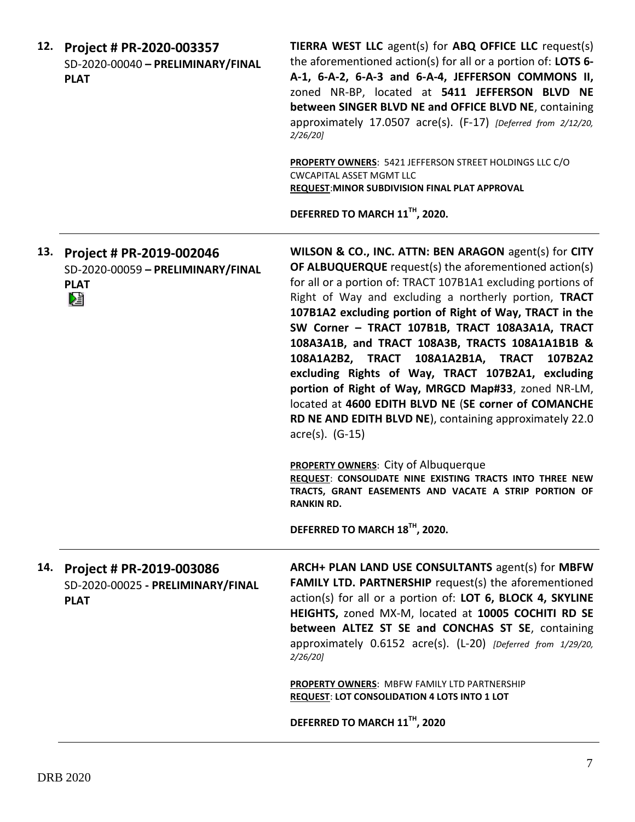|     | 12. Project # PR-2020-003357<br>SD-2020-00040 - PRELIMINARY/FINAL<br><b>PLAT</b>      | TIERRA WEST LLC agent(s) for ABQ OFFICE LLC request(s)<br>the aforementioned action(s) for all or a portion of: LOTS 6-<br>A-1, 6-A-2, 6-A-3 and 6-A-4, JEFFERSON COMMONS II,<br>zoned NR-BP, located at 5411 JEFFERSON BLVD NE<br>between SINGER BLVD NE and OFFICE BLVD NE, containing<br>approximately 17.0507 acre(s). (F-17) [Deferred from 2/12/20,<br>2/26/20                                                                                                                                                                                                                                                                                                                                                  |
|-----|---------------------------------------------------------------------------------------|-----------------------------------------------------------------------------------------------------------------------------------------------------------------------------------------------------------------------------------------------------------------------------------------------------------------------------------------------------------------------------------------------------------------------------------------------------------------------------------------------------------------------------------------------------------------------------------------------------------------------------------------------------------------------------------------------------------------------|
|     |                                                                                       | PROPERTY OWNERS: 5421 JEFFERSON STREET HOLDINGS LLC C/O<br><b>CWCAPITAL ASSET MGMT LLC</b><br>REQUEST: MINOR SUBDIVISION FINAL PLAT APPROVAL                                                                                                                                                                                                                                                                                                                                                                                                                                                                                                                                                                          |
|     |                                                                                       | DEFERRED TO MARCH 11TH, 2020.                                                                                                                                                                                                                                                                                                                                                                                                                                                                                                                                                                                                                                                                                         |
|     | 13. Project # PR-2019-002046<br>SD-2020-00059 - PRELIMINARY/FINAL<br><b>PLAT</b><br>熠 | WILSON & CO., INC. ATTN: BEN ARAGON agent(s) for CITY<br><b>OF ALBUQUERQUE</b> request(s) the aforementioned action(s)<br>for all or a portion of: TRACT 107B1A1 excluding portions of<br>Right of Way and excluding a northerly portion, TRACT<br>107B1A2 excluding portion of Right of Way, TRACT in the<br>SW Corner - TRACT 107B1B, TRACT 108A3A1A, TRACT<br>108A3A1B, and TRACT 108A3B, TRACTS 108A1A1B1B &<br>108A1A2B2, TRACT 108A1A2B1A, TRACT 107B2A2<br>excluding Rights of Way, TRACT 107B2A1, excluding<br>portion of Right of Way, MRGCD Map#33, zoned NR-LM,<br>located at 4600 EDITH BLVD NE (SE corner of COMANCHE<br>RD NE AND EDITH BLVD NE), containing approximately 22.0<br>$\arccos 0$ . (G-15) |
|     |                                                                                       | <b>PROPERTY OWNERS: City of Albuquerque</b><br>REQUEST: CONSOLIDATE NINE EXISTING TRACTS INTO THREE NEW<br>TRACTS, GRANT EASEMENTS AND VACATE A STRIP PORTION OF<br><b>RANKIN RD.</b>                                                                                                                                                                                                                                                                                                                                                                                                                                                                                                                                 |
|     |                                                                                       | DEFERRED TO MARCH 18TH, 2020.                                                                                                                                                                                                                                                                                                                                                                                                                                                                                                                                                                                                                                                                                         |
| 14. | Project # PR-2019-003086<br>SD-2020-00025 - PRELIMINARY/FINAL<br><b>PLAT</b>          | ARCH+ PLAN LAND USE CONSULTANTS agent(s) for MBFW<br><b>FAMILY LTD. PARTNERSHIP request(s) the aforementioned</b><br>action(s) for all or a portion of: LOT 6, BLOCK 4, SKYLINE<br>HEIGHTS, zoned MX-M, located at 10005 COCHITI RD SE<br>between ALTEZ ST SE and CONCHAS ST SE, containing<br>approximately 0.6152 acre(s). (L-20) [Deferred from 1/29/20,<br>$2/26/20$ ]                                                                                                                                                                                                                                                                                                                                            |
|     |                                                                                       | PROPERTY OWNERS: MBFW FAMILY LTD PARTNERSHIP<br><b>REQUEST: LOT CONSOLIDATION 4 LOTS INTO 1 LOT</b>                                                                                                                                                                                                                                                                                                                                                                                                                                                                                                                                                                                                                   |
|     |                                                                                       | DEFERRED TO MARCH 11TH, 2020                                                                                                                                                                                                                                                                                                                                                                                                                                                                                                                                                                                                                                                                                          |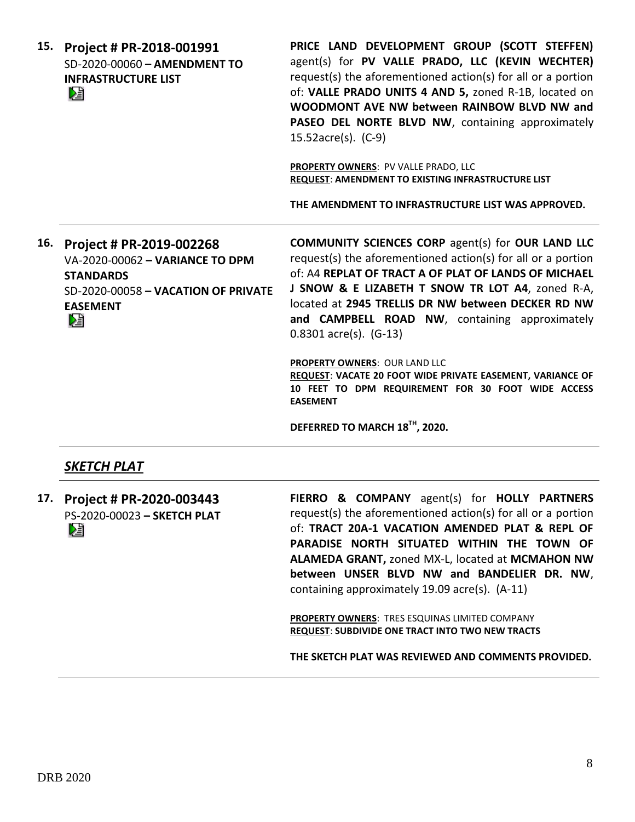| 15. Project # PR-2018-001991   |  |
|--------------------------------|--|
| $SD-2020-00060 - AMENDMENT TO$ |  |
| <b>INFRASTRUCTURE LIST</b>     |  |
| ▷∃                             |  |

**PRICE LAND DEVELOPMENT GROUP (SCOTT STEFFEN)** agent(s) for **PV VALLE PRADO, LLC (KEVIN WECHTER)** request(s) the aforementioned action(s) for all or a portion of: **VALLE PRADO UNITS 4 AND 5,** zoned R-1B, located on **WOODMONT AVE NW between RAINBOW BLVD NW and**  PASEO DEL NORTE BLVD NW, containing approximately 15.52acre(s). (C-9)

**PROPERTY OWNERS**: PV VALLE PRADO, LLC **REQUEST**: **AMENDMENT TO EXISTING INFRASTRUCTURE LIST**

**THE AMENDMENT TO INFRASTRUCTURE LIST WAS APPROVED.**

**16. Project # PR-2019-002268** VA-2020-00062 **– VARIANCE TO DPM STANDARDS** SD-2020-00058 **– VACATION OF PRIVATE EASEMENT**

**COMMUNITY SCIENCES CORP** agent(s) for **OUR LAND LLC** request(s) the aforementioned action(s) for all or a portion of: A4 **REPLAT OF TRACT A OF PLAT OF LANDS OF MICHAEL J SNOW & E LIZABETH T SNOW TR LOT A4**, zoned R-A, located at **2945 TRELLIS DR NW between DECKER RD NW and CAMPBELL ROAD NW**, containing approximately 0.8301 acre(s). (G-13)

**PROPERTY OWNERS**: OUR LAND LLC **REQUEST**: **VACATE 20 FOOT WIDE PRIVATE EASEMENT, VARIANCE OF 10 FEET TO DPM REQUIREMENT FOR 30 FOOT WIDE ACCESS EASEMENT**

**DEFERRED TO MARCH 18TH, 2020.**

## *SKETCH PLAT*

**17. Project # PR-2020-003443** PS-2020-00023 **– SKETCH PLAT** DÊ

**FIERRO & COMPANY** agent(s) for **HOLLY PARTNERS** request(s) the aforementioned action(s) for all or a portion of: **TRACT 20A-1 VACATION AMENDED PLAT & REPL OF PARADISE NORTH SITUATED WITHIN THE TOWN OF ALAMEDA GRANT,** zoned MX-L, located at **MCMAHON NW between UNSER BLVD NW and BANDELIER DR. NW**, containing approximately 19.09 acre(s). (A-11)

**PROPERTY OWNERS**: TRES ESQUINAS LIMITED COMPANY **REQUEST**: **SUBDIVIDE ONE TRACT INTO TWO NEW TRACTS**

**THE SKETCH PLAT WAS REVIEWED AND COMMENTS PROVIDED.**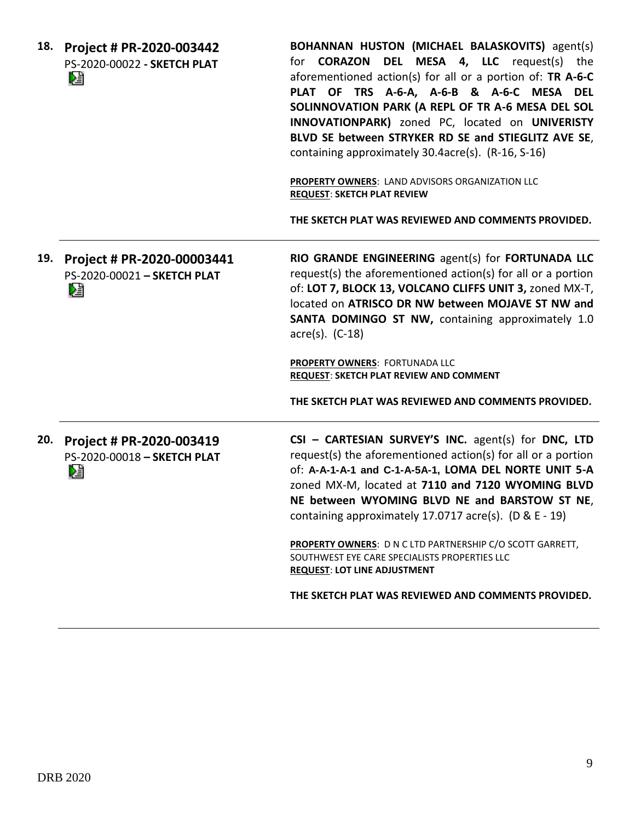**18. Project # PR-2020-003442** PS-2020-00022 **- SKETCH PLAT** DË

**BOHANNAN HUSTON (MICHAEL BALASKOVITS)** agent(s) for **CORAZON DEL MESA 4, LLC** request(s) the aforementioned action(s) for all or a portion of: **TR A-6-C PLAT OF TRS A-6-A, A-6-B & A-6-C MESA DEL SOLINNOVATION PARK (A REPL OF TR A-6 MESA DEL SOL INNOVATIONPARK)** zoned PC, located on **UNIVERISTY BLVD SE between STRYKER RD SE and STIEGLITZ AVE SE**, containing approximately 30.4acre(s). (R-16, S-16)

**PROPERTY OWNERS**: LAND ADVISORS ORGANIZATION LLC **REQUEST**: **SKETCH PLAT REVIEW**

**THE SKETCH PLAT WAS REVIEWED AND COMMENTS PROVIDED.**

**19. Project # PR-2020-00003441** PS-2020-00021 **– SKETCH PLAT**

**RIO GRANDE ENGINEERING** agent(s) for **FORTUNADA LLC** request(s) the aforementioned action(s) for all or a portion of: **LOT 7, BLOCK 13, VOLCANO CLIFFS UNIT 3,** zoned MX-T, located on **ATRISCO DR NW between MOJAVE ST NW and SANTA DOMINGO ST NW,** containing approximately 1.0 acre(s). (C-18)

**PROPERTY OWNERS**: FORTUNADA LLC **REQUEST**: **SKETCH PLAT REVIEW AND COMMENT**

**THE SKETCH PLAT WAS REVIEWED AND COMMENTS PROVIDED.**

**20. Project # PR-2020-003419** PS-2020-00018 **– SKETCH PLAT** DJ

**CSI – CARTESIAN SURVEY'S INC.** agent(s) for **DNC, LTD** request(s) the aforementioned action(s) for all or a portion of: **A-A-1-A-1 and C-1-A-5A-1, LOMA DEL NORTE UNIT 5-A**  zoned MX-M, located at **7110 and 7120 WYOMING BLVD NE between WYOMING BLVD NE and BARSTOW ST NE**, containing approximately 17.0717 acre(s). (D & E - 19)

**PROPERTY OWNERS**: D N C LTD PARTNERSHIP C/O SCOTT GARRETT, SOUTHWEST EYE CARE SPECIALISTS PROPERTIES LLC **REQUEST**: **LOT LINE ADJUSTMENT**

**THE SKETCH PLAT WAS REVIEWED AND COMMENTS PROVIDED.**